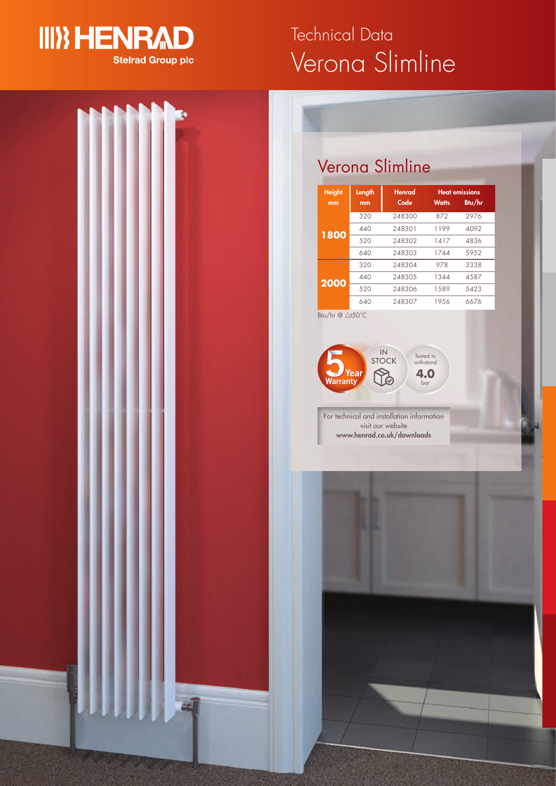

# Verona Slimline Technical Data



## Verona Slimline

| <b>Height</b><br>mm | Length<br>mm | <b>Henrad</b><br>Code | <b>Watts</b> | <b>Heat emissions</b><br>Btu/hr |
|---------------------|--------------|-----------------------|--------------|---------------------------------|
|                     | 320          | 248300                | 872          | 2976                            |
|                     | 440          | 248301                | 1199         | 4092                            |
| 1800                | 520          | 248302                | 1417         | 4836                            |
|                     | 640          | 248303                | 1744         | 5952                            |
|                     | 320          | 248304                | 978          | 3338                            |
| 2000                | 440          | 248305                | 1344         | 4587                            |
|                     | 520          | 248306                | 1.589        | 5423                            |
|                     | 640          | 248307                | 19.56        | 6676                            |

 $Bt$ <sub>u</sub>/hr @  $\triangle t$ 50°C



For technical and installation information visit our website **www.henrad.co.uk/downloads**